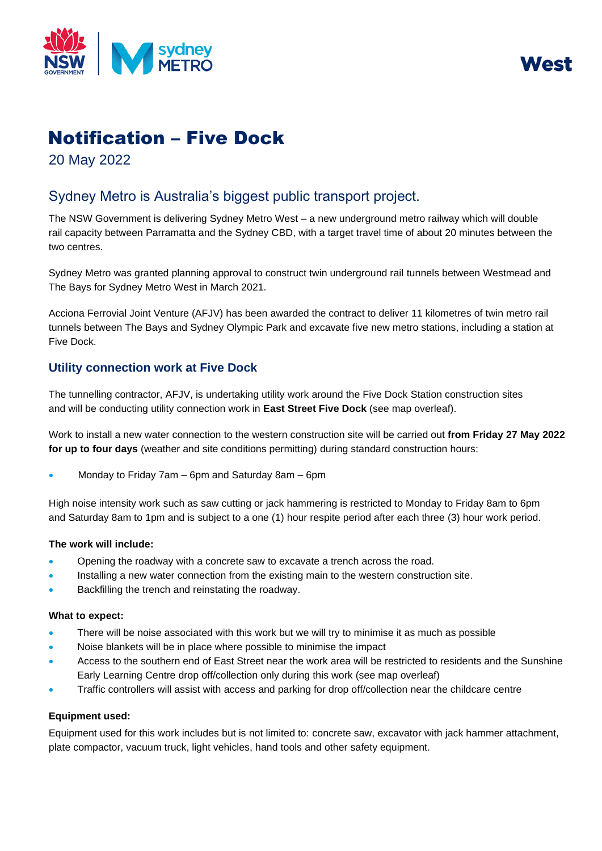



# Notification – Five Dock

20 May 2022

# Sydney Metro is Australia's biggest public transport project.

The NSW Government is delivering Sydney Metro West – a new underground metro railway which will double rail capacity between Parramatta and the Sydney CBD, with a target travel time of about 20 minutes between the two centres.

Sydney Metro was granted planning approval to construct twin underground rail tunnels between Westmead and The Bays for Sydney Metro West in March 2021.

Acciona Ferrovial Joint Venture (AFJV) has been awarded the contract to deliver 11 kilometres of twin metro rail tunnels between The Bays and Sydney Olympic Park and excavate five new metro stations, including a station at Five Dock.

### **Utility connection work at Five Dock**

The tunnelling contractor, AFJV, is undertaking utility work around the Five Dock Station construction sites and will be conducting utility connection work in **East Street Five Dock** (see map overleaf).

Work to install a new water connection to the western construction site will be carried out **from Friday 27 May 2022 for up to four days** (weather and site conditions permitting) during standard construction hours:

• Monday to Friday 7am – 6pm and Saturday 8am – 6pm

High noise intensity work such as saw cutting or jack hammering is restricted to Monday to Friday 8am to 6pm and Saturday 8am to 1pm and is subject to a one (1) hour respite period after each three (3) hour work period.

#### **The work will include:**

- Opening the roadway with a concrete saw to excavate a trench across the road.
- Installing a new water connection from the existing main to the western construction site.
- Backfilling the trench and reinstating the roadway.

#### **What to expect:**

- There will be noise associated with this work but we will try to minimise it as much as possible
- Noise blankets will be in place where possible to minimise the impact
- Access to the southern end of East Street near the work area will be restricted to residents and the Sunshine Early Learning Centre drop off/collection only during this work (see map overleaf)
- Traffic controllers will assist with access and parking for drop off/collection near the childcare centre

#### **Equipment used:**

Equipment used for this work includes but is not limited to: concrete saw, excavator with jack hammer attachment, plate compactor, vacuum truck, light vehicles, hand tools and other safety equipment.